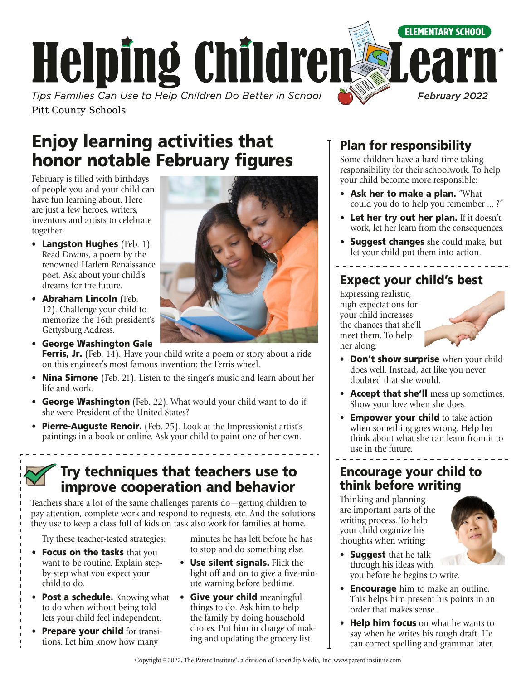

Enjoy learning activities that honor notable February figures

February is filled with birthdays of people you and your child can have fun learning about. Here are just a few heroes, writers, inventors and artists to celebrate together:

- Langston Hughes (Feb. 1). Read *Dreams*, a poem by the renowned Harlem Renaissance poet*.* Ask about your child's dreams for the future.
- Abraham Lincoln (Feb. 12). Challenge your child to memorize the 16th president's Gettysburg Address.
- George Washington Gale Ferris, Jr. (Feb. 14). Have your child write a poem or story about a ride on this engineer's most famous invention: the Ferris wheel.
- Nina Simone (Feb. 21). Listen to the singer's music and learn about her life and work.
- George Washington (Feb. 22). What would your child want to do if she were President of the United States?
- Pierre-Auguste Renoir. (Feb. 25). Look at the Impressionist artist's paintings in a book or online. Ask your child to paint one of her own.

### Try techniques that teachers use to improve cooperation and behavior

Teachers share a lot of the same challenges parents do—getting children to pay attention, complete work and respond to requests, etc. And the solutions they use to keep a class full of kids on task also work for families at home.

Try these teacher-tested strategies:

- Focus on the tasks that you want to be routine. Explain stepby-step what you expect your child to do.
- Post a schedule. Knowing what to do when without being told lets your child feel independent.
- Prepare your child for transitions. Let him know how many

minutes he has left before he has to stop and do something else.

- Use silent signals. Flick the light off and on to give a five-minute warning before bedtime.
- Give your child meaningful things to do. Ask him to help the family by doing household chores. Put him in charge of making and updating the grocery list.

### Plan for responsibility

Some children have a hard time taking responsibility for their schoolwork. To help your child become more responsible:

- Ask her to make a plan. "What could you do to help you remember ... ?"
- Let her try out her plan. If it doesn't work, let her learn from the consequences.
- **Suggest changes** she could make, but let your child put them into action.

### Expect your child's best

Expressing realistic, high expectations for your child increases the chances that she'll meet them. To help her along:



- Don't show surprise when your child does well. Instead, act like you never doubted that she would.
- Accept that she'll mess up sometimes. Show your love when she does.
- **Empower your child** to take action when something goes wrong. Help her think about what she can learn from it to use in the future.

### Encourage your child to think before writing

Thinking and planning are important parts of the writing process. To help your child organize his thoughts when writing:



- **Suggest** that he talk through his ideas with you before he begins to write.
- **Encourage** him to make an outline. This helps him present his points in an order that makes sense.
- Help him focus on what he wants to say when he writes his rough draft. He can correct spelling and grammar later.